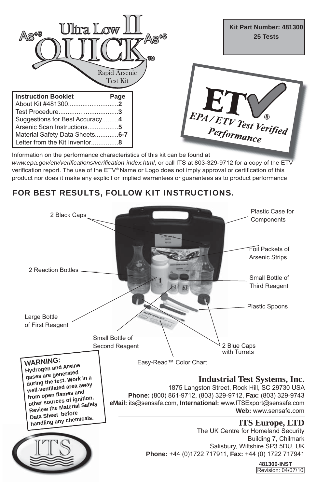

Information on the performance characteristics of this kit can be found at *www.epa.gov/etv/verifications/verification-index.html*, or call ITS at 803-329-9712 for a copy of the ETV verification report. The use of the ETV® Name or Logo does not imply approval or certification of this product nor does it make any explicit or implied warrantees or guarantees as to product performance.

# FOR BEST RESULTS, FOLLOW KIT INSTRUCTIONS.

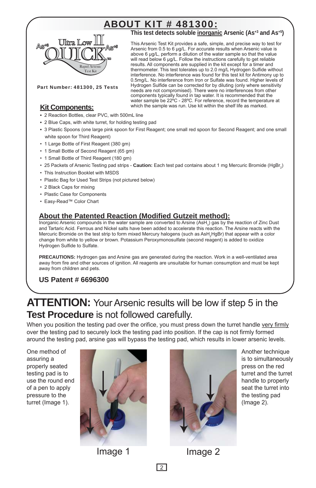# ABOUT KIT # 481300:

![](_page_1_Picture_1.jpeg)

**This test detects soluble inorganic Arsenic (As+3 and As+5)**

This Arsenic Test Kit provides a safe, simple, and precise way to test for Arsenic from 0.5 to 6 μg/L. For accurate results when Arsenic value is above 6 μg/L, perform a dilution of the water sample so that the value will read below 6 μg/L. Follow the instructions carefully to get reliable results. All components are supplied in the kit except for a timer and thermometer. This test tolerates up to 2.0 mg/L Hydrogen Sulfide without interference. No interference was found for this test kit for Antimony up to 0.5mg/L. No interference from Iron or Sulfate was found. Higher levels of Hydrogen Sulfide can be corrected for by diluting (only where sensitivity needs are not compromised). There were no interferences from other components typically found in tap water. It is recommended that the water sample be 22ºC - 28ºC. For reference, record the temperature at which the sample was run. Use kit within the shelf life as marked.

Part Number: 481300, 25 Tests

## **Kit Components:**

- **•** 2 Reaction Bottles, clear PVC, with 500mL line
- 2 Blue Caps, with white turret, for holding testing pad
- **•** 3 Plastic Spoons (one large pink spoon for First Reagent; one small red spoon for Second Reagent; and one small white spoon for Third Reagent)
- 1 Large Bottle of First Reagent (380 gm)
- 1 Small Bottle of Second Reagent (65 gm)
- 1 Small Bottle of Third Reagent (180 gm)
- 25 Packets of Arsenic Testing pad strips **Caution:** Each test pad contains about 1 mg Mercuric Bromide (HgBr<sub>2</sub>)
- This Instruction Booklet with MSDS
- Plastic Bag for Used Test Strips (not pictured below)
- 2 Black Caps for mixing
- Plastic Case for Components
- Easy-Read™ Color Chart

## **About the Patented Reaction (Modified Gutzeit method):**

Inorganic Arsenic compounds in the water sample are converted to Arsine (AsH<sub>3</sub>) gas by the reaction of Zinc Dust and Tartaric Acid. Ferrous and Nickel salts have been added to accelerate this reaction. The Arsine reacts with the Mercuric Bromide on the test strip to form mixed Mercury halogens (such as AsH<sub>2</sub>HgBr) that appear with a color change from white to yellow or brown. Potassium Peroxymonosulfate (second reagent) is added to oxidize Hydrogen Sulfide to Sulfate.

**PRECAUTIONS:** Hydrogen gas and Arsine gas are generated during the reaction. Work in a well-ventilated area away from fire and other sources of ignition. All reagents are unsuitable for human consumption and must be kept away from children and pets.

## **US Patent # 6696300**

# **ATTENTION:** Your Arsenic results will be low if step 5 in the **Test Procedure** is not followed carefully.

When you position the testing pad over the orifice, you must press down the turret handle very firmly over the testing pad to securely lock the testing pad into position. If the cap is not firmly formed around the testing pad, arsine gas will bypass the testing pad, which results in lower arsenic levels.

One method of assuring a properly seated testing pad is to use the round end of a pen to apply pressure to the turret (Image 1).

![](_page_1_Picture_25.jpeg)

![](_page_1_Picture_27.jpeg)

Image 1 Image 2

Another technique is to simultaneously press on the red turret and the turret handle to properly seat the turret into the testing pad (Image 2).

 $\sqrt{2}$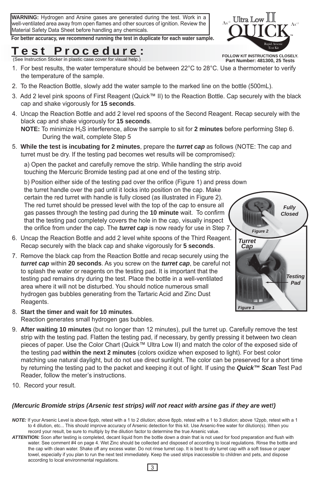**WARNING:** Hydrogen and Arsine gases are generated during the test. Work in a well-ventilated area away from open flames and other sources of ignition. Review the Material Safety Data Sheet before handling any chemicals.

**For better accuracy, we recommend running the test in duplicate for each water sample.**

# **Test Procedure:**

FOLLOW KIT INSTRUCTIONS CLOSELY.<br>
(See Instruction Sticker in plastic case cover for visual help.) **Part Number: 481300, 25 Tests** 

- 1. For best results, the water temperature should be between 22°C to 28°C. Use a thermometer to verify the temperature of the sample.
- 2. To the Reaction Bottle, slowly add the water sample to the marked line on the bottle (500mL).
- 3. Add 2 level pink spoons of First Reagent (Quick™ II) to the Reaction Bottle. Cap securely with the black cap and shake vigorously for **15 seconds**.
- 4. Uncap the Reaction Bottle and add 2 level red spoons of the Second Reagent. Recap securely with the black cap and shake vigorously for **15 seconds**.

**NOTE:** To minimize H2S interference, allow the sample to sit for **2 minutes** before performing Step 6. During the wait, complete Step 5

5. **While the test is incubating for 2 minutes**, prepare the *turret cap* as follows (NOTE: The cap and turret must be dry. If the testing pad becomes wet results will be compromised):

a) Open the packet and carefully remove the strip. While handling the strip avoid touching the Mercuric Bromide testing pad at one end of the testing strip.

b) Position either side of the testing pad over the orifice (Figure 1) and press down the turret handle over the pad until it locks into position on the cap. Make

certain the red turret with handle is fully closed (as illustrated in Figure 2). The red turret should be pressed level with the top of the cap to ensure all gas passes through the testing pad during the **10 minute** wait. To confirm that the testing pad completely covers the hole in the cap, visually inspect the orifice from under the cap. The *turret cap* is now ready for use in Step 7.

- 6. Uncap the Reaction Bottle and add 2 level white spoons of the Third Reagent. Recap securely with the black cap and shake vigorously for **5 seconds**.
- 7. Remove the black cap from the Reaction Bottle and recap securely using the *turret cap* within **20 seconds**. As you screw on the *turret cap*, be careful not to splash the water or reagents on the testing pad. It is important that the testing pad remains dry during the test. Place the bottle in a well-ventilated area where it will not be disturbed. You should notice numerous small hydrogen gas bubbles generating from the Tartaric Acid and Zinc Dust Reagents.
- 8. **Start the timer and wait for 10 minutes**. Reaction generates small hydrogen gas bubbles.
- 9. **After waiting 10 minutes** (but no longer than 12 minutes), pull the turret up. Carefully remove the test strip with the testing pad. Flatten the testing pad, if necessary, by gently pressing it between two clean pieces of paper. Use the Color Chart (Quick™ Ultra Low II) and match the color of the exposed side of the testing pad **within the next 2 minutes** (colors oxidize when exposed to light). For best color matching use natural daylight, but do not use direct sunlight. The color can be preserved for a short time by returning the testing pad to the packet and keeping it out of light. If using the *Quick™ Scan* Test Pad Reader, follow the meter's instructions.
- 10. Record your result.

## *(Mercuric Bromide strips (Arsenic test strips) will not react with arsine gas if they are wet!)*

- *NOTE:* If your Arsenic Level is above 6ppb, retest with a 1 to 2 dilution; above 8ppb, retest with a 1 to 3 dilution; above 12ppb, retest with a 1 to 4 dilution, etc... This should improve accuracy of Arsenic detection for this kit. Use Arsenic-free water for dilution(s). When you record your result, be sure to multiply by the dilution factor to determine the true Arsenic value.
- *ATTENTION:* Soon after testing is completed, decant liquid from the bottle down a drain that is not used for food preparation and flush with water. See comment #4 on page 4. Wet Zinc should be collected and disposed of according to local regulations. Rinse the bottle and the cap with clean water. Shake off any excess water. Do not rinse turret cap. It is best to dry turret cap with a soft tissue or paper towel, especially if you plan to run the next test immediately. Keep the used strips inaccessible to children and pets, and dispose according to local environmental regulations.

![](_page_2_Picture_21.jpeg)

![](_page_2_Picture_22.jpeg)

![](_page_2_Picture_23.jpeg)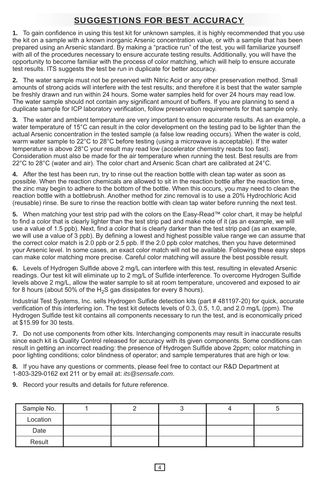# SUGGESTIONS FOR BEST ACCURACY

**1.** To gain confidence in using this test kit for unknown samples, it is highly recommended that you use the kit on a sample with a known inorganic Arsenic concentration value, or with a sample that has been prepared using an Arsenic standard. By making a "practice run" of the test, you will familiarize yourself with all of the procedures necessary to ensure accurate testing results. Additionally, you will have the opportunity to become familiar with the process of color matching, which will help to ensure accurate test results. ITS suggests the test be run in duplicate for better accuracy.

**2.** The water sample must not be preserved with Nitric Acid or any other preservation method. Small amounts of strong acids will interfere with the test results; and therefore it is best that the water sample be freshly drawn and run within 24 hours. Some water samples held for over 24 hours may read low. The water sample should not contain any significant amount of buffers. If you are planning to send a duplicate sample for ICP laboratory verification, follow preservation requirements for that sample only.

**3.** The water and ambient temperature are very important to ensure accurate results. As an example, a water temperature of 15°C can result in the color development on the testing pad to be lighter than the actual Arsenic concentration in the tested sample (a false low reading occurs). When the water is cold, warm water sample to 22°C to 28°C before testing (using a microwave is acceptable). If the water temperature is above 28°C your result may read low (accelerator chemistry reacts too fast). Consideration must also be made for the air temperature when running the test. Best results are from 22°C to 28°C (water and air). The color chart and Arsenic Scan chart are calibrated at 24°C.

**4.** After the test has been run, try to rinse out the reaction bottle with clean tap water as soon as possible. When the reaction chemicals are allowed to sit in the reaction bottle after the reaction time, the zinc may begin to adhere to the bottom of the bottle. When this occurs, you may need to clean the reaction bottle with a bottlebrush. Another method for zinc removal is to use a 20% Hydrochloric Acid (reusable) rinse. Be sure to rinse the reaction bottle with clean tap water before running the next test.

**5.** When matching your test strip pad with the colors on the Easy-Read™ color chart, it may be helpful to find a color that is clearly lighter than the test strip pad and make note of it (as an example, we will use a value of 1.5 ppb). Next, find a color that is clearly darker than the test strip pad (as an example, we will use a value of 3 ppb). By defining a lowest and highest possible value range we can assume that the correct color match is 2.0 ppb or 2.5 ppb. If the 2.0 ppb color matches, then you have determined your Arsenic level. In some cases, an exact color match will not be available. Following these easy steps can make color matching more precise. Careful color matching will assure the best possible result.

**6.** Levels of Hydrogen Sulfide above 2 mg/L can interfere with this test, resulting in elevated Arsenic readings. Our test kit will eliminate up to 2 mg/L of Sulfide interference. To overcome Hydrogen Sulfide levels above 2 mg/L, allow the water sample to sit at room temperature, uncovered and exposed to air for 8 hours (about 50% of the  $H_2S$  gas dissipates for every 8 hours).

Industrial Test Systems, Inc. sells Hydrogen Sulfide detection kits (part # 481197-20) for quick, accurate verification of this interfering ion. The test kit detects levels of 0.3, 0.5, 1.0, and 2.0 mg/L (ppm). The Hydrogen Sulfide test kit contains all components necessary to run the test, and is economically priced at \$15.99 for 30 tests.

**7.** Do not use components from other kits. Interchanging components may result in inaccurate results since each kit is Quality Control released for accuracy with its given components. Some conditions can result in getting an incorrect reading: the presence of Hydrogen Sulfide above 2ppm; color matching in poor lighting conditions; color blindness of operator; and sample temperatures that are high or low.

**8.** If you have any questions or comments, please feel free to contact our R&D Department at 1-803-329-0162 ext 211 or by email at: *its@sensafe.com*.

**9.** Record your results and details for future reference.

| Sample No. |  |  |  |
|------------|--|--|--|
| Location   |  |  |  |
| Date       |  |  |  |
| Result     |  |  |  |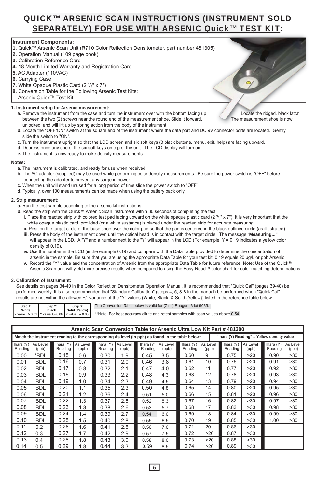## QUICK™ ARSENIC SCAN INSTRUCTIONS (INSTRUMENT SOLD SEPARATELY) FOR USE WITH ARSENIC Quick™ TEST KIT:

### **Instrument Components:**

- **1.** Quick™ Arsenic Scan Unit (R710 Color Reflection Densitometer, part number 481305) 05)<br>(
- **2.** Operation Manual (109 page book)
- **3.** Calibration Reference Card
- **4.** 18 Month Limited Warranty and Registration Card
- **5.** AC Adapter (110VAC)
- **6.** Carrying Case
- **7.** White Opaque Plastic Card (2 3/8" x 7")
- **8.** Conversion Table for the Following Arsenic Test Kits: Arsenic Quick™ Test Kit
- **1. Instrument setup for Arsenic measurement:**
	- **a.** Remove the instrument from the case and turn the instrument over with the bottom facing up. Locate the ridged, black latch between the two (2) screws near the round end of the measurement shoe. Slide it forward. The measurement shoe is now unlocked, and will lift up by spring action from the body of the instrument.
	- **b.** Locate the "OFF/ON" switch at the square end of the instrument where the data port and DC 9V connector ports are located. Gently slide the switch to "ON".
	- **c.** Turn the instrument upright so that the LCD screen and six soft keys (3 black buttons, menu, exit, help) are facing upward.
	- **d.** Depress once any one of the six soft keys on top of the unit. The LCD display will turn on.
	- **e.** The instrument is now ready to make density measurements.

#### **Notes:**

- **a.** The instrument is calibrated, and ready for use when received.
- **b.** The AC adapter (supplied) may be used while performing color density measurements. Be sure the power switch is "OFF" before connecting the adapter to prevent any surge in power.
- **c.** When the unit will stand unused for a long period of time slide the power switch to "OFF".
- **d.** Typically, over 100 measurements can be made when using the battery pack only.

#### **2. Strip measurement:**

- **a.** Run the test sample according to the arsenic kit instructions.
- **b.** Read the strip with the Quick™ Arsenic Scan instrument within 30 seconds of completing the test.
	- **i.** Place the reacted strip with colored test pad facing upward on the white opaque plastic card  $(2 \frac{3}{8})$  x 7"). It is very important that the white opaque plastic card provided (or a white sustance) is placed under the reacted strip for accurate measuring.
	- **ii.** Position the target circle of the base shoe over the color pad so that the pad is centered in the black outlined circle (as illustrated). **iii.** Press the body of the instrument down until the optical head is in contact with the target circle. The message "**Measuring..."**
	- will appear in the LCD. A "Y" and a number next to the "Y" will appear in the LCD (For example, Y = 0.19 indicates a yellow color density of 0.19).
	- **iv.** Use the number in the LCD (in the example 0.19) and compare with the Data Table provided to determine the concentration of arsenic in the sample. Be sure that you are using the appropriate Data Table for your test kit. 0.19 equals 20 μg/L or ppb Arsenic.
	- **v.** Record the "Y" value and the concentration of Arsenic from the appropriate Data Table for future reference. Note: Use of the Quick™ Arsenic Scan unit will yield more precise results when compared to using the Easy-Read™ color chart for color matching determinations.

#### **3. Calibration of Instrument:**

 See details on pages 34-40 in the Color Reflection Densitometer Operation Manual. It is recommended that "Quick Cal" (pages 39-40) be performed weekly. It is also recommended that "Standard Calibration" (steps 4, 5, & 8 in the manual) be performed when "Quick Cal" results are not within the allowed +/- variance of the "Y" values (White, Black, & Solid {Yellow}) listed in the reference table below:

| Step 1: | Step 2:      | Step 3:                                            |  |
|---------|--------------|----------------------------------------------------|--|
| White   | <b>Black</b> | Solid (Yellow)                                     |  |
|         |              | Y value +/- 0.01 Y value +/- 0.06 Y value +/- 0.03 |  |

The Conversion Table below is valid for (Zinc) Reagent 3 lot 9035.

\*\*Note: For best accuracy dilute and retest samples with scan values above 0.54

|                      | Arsenic Scan Conversion Table for Arsenic Ultra Low Kit Part # 481300 |                      |                   |                      |                   |                      |                   |                                                                                                  |                   |                                            |                   |                      |                   |
|----------------------|-----------------------------------------------------------------------|----------------------|-------------------|----------------------|-------------------|----------------------|-------------------|--------------------------------------------------------------------------------------------------|-------------------|--------------------------------------------|-------------------|----------------------|-------------------|
|                      |                                                                       |                      |                   |                      |                   |                      |                   | Match the instrument reading to the corresponding As level (in ppb) as found in the table below: |                   | "Ihara (Y) Reading" = Yellow density value |                   |                      |                   |
| Ihara (Y)<br>Reading | As Level<br>(ppb)                                                     | Ihara (Y)<br>Reading | As Level<br>(ppb) | Ihara (Y)<br>Reading | As Level<br>(ppb) | Ihara (Y)<br>Reading | As Level<br>(ppb) | Ihara (Y)<br>Reading                                                                             | As Level<br>(ppb) | Ihara (Y)<br>Reading                       | As Level<br>(ppb) | Ihara (Y)<br>Reading | As Level<br>(ppb) |
| 0.00                 | *BDL                                                                  | 0.15                 | 0.6               | 0.30                 | 1.9               | 0.45                 | 3.5               | 0.60                                                                                             | 9                 | 0.75                                       | >20               | 0.90                 | >30               |
| 0.01                 | <b>BDL</b>                                                            | 0.16                 | 0.7               | 0.31                 | 2.0               | 0.46                 | 3.8               | 0.61                                                                                             | 10                | 0.76                                       | >20               | 0.91                 | >30               |
| 0.02                 | <b>BDL</b>                                                            | 0.17                 | 0.8               | 0.32                 | 2.1               | 0.47                 | 4.0               | 0.62                                                                                             | 11                | 0.77                                       | >20               | 0.92                 | >30               |
| 0.03                 | <b>BDL</b>                                                            | 0.18                 | 0.9               | 0.33                 | 2.2               | 0.48                 | 4.3               | 0.63                                                                                             | 12                | 0.78                                       | >20               | 0.93                 | >30               |
| 0.04                 | <b>BDL</b>                                                            | 0.19                 | 1.0               | 0.34                 | 2.3               | 0.49                 | 4.5               | 0.64                                                                                             | 13                | 0.79                                       | >20               | 0.94                 | >30               |
| 0.05                 | <b>BDL</b>                                                            | 0.20                 | 1.1               | 0.35                 | 2.3               | 0.50                 | 4.8               | 0.65                                                                                             | 14                | 0.80                                       | >20               | 0.95                 | >30               |
| 0.06                 | <b>BDL</b>                                                            | 0.21                 | 1.2               | 0.36                 | 2.4               | 0.51                 | 5.0               | 0.66                                                                                             | 15                | 0.81                                       | >20               | 0.96                 | >30               |
| 0.07                 | <b>BDL</b>                                                            | 0.22                 | 1.3               | 0.37                 | 2.5               | 0.52                 | 5.3               | 0.67                                                                                             | 16                | 0.82                                       | >30               | 0.97                 | >30               |
| 0.08                 | <b>BDL</b>                                                            | 0.23                 | 1.3               | 0.38                 | 2.6               | 0.53                 | 5.7               | 0.68                                                                                             | 17                | 0.83                                       | >30               | 0.98                 | >30               |
| 0.09                 | <b>BDL</b>                                                            | 0.24                 | 1.4               | 0.39                 | 2.7               | 0.54                 | 6.0               | 0.69                                                                                             | 18                | 0.84                                       | >30               | 0.99                 | >30               |
| 0.10                 | <b>BDL</b>                                                            | 0.25                 | 1.5               | 0.40                 | 2.8               | 0.55                 | 6.5               | 0.70                                                                                             | 19                | 0.85                                       | >30               | 1.00                 | >30               |
| 0.11                 | 0.2                                                                   | 0.26                 | 1.6               | 0.41                 | 2.8               | 0.56                 | 7.0               | 0.71                                                                                             | 20                | 0.86                                       | >30               | ----                 | ----              |
| 0.12                 | 0.3                                                                   | 0.27                 | 1.7               | 0.42                 | 2.9               | 0.57                 | 7.5               | 0.72                                                                                             | >20               | 0.87                                       | >30               |                      |                   |
| 0.13                 | 0.4                                                                   | 0.28                 | 1.8               | 0.43                 | 3.0               | 0.58                 | 8.0               | 0.73                                                                                             | >20               | 0.88                                       | >30               |                      |                   |
| 0.14                 | 0.5                                                                   | 0.29                 | 1.8               | 0.44                 | 3.3               | 0.59                 | 8.5               | 0.74                                                                                             | >20               | 0.89                                       | >30               |                      |                   |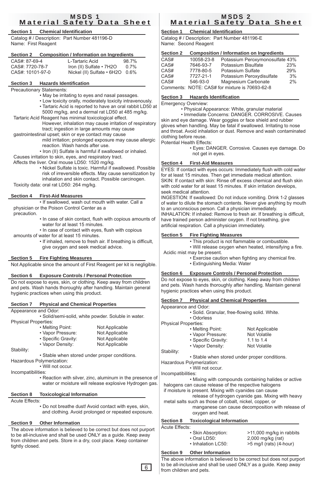#### MSDS 1 Material Safety Data Sheet

#### **Section 1 Chemical Identification**

Catalog # / Description: Part Number 481196-D Name: First Reagent

#### **Section 2 Composition / Information on Ingredients**

| CAS#: 87-69-4    | L-Tartaric Acid                 | 98.7%   |
|------------------|---------------------------------|---------|
| CAS#: 7720-78-7  | Iron (II) Sulfate • 7H2O        | $0.7\%$ |
| CAS#: 10101-97-0 | Nickel (II) Sulfate · 6H2O 0.6% |         |
|                  |                                 |         |

### **Section 3 Hazards Identification**

Precautionary Statements:

- May be irritating to eyes and nasal passages.
- Low toxicity orally, moderately toxicity intravenously.
- Tartaric Acid is reported to have an oral rabbit LD50 at 5000 mg/kg, and a dermal rat LD50 at 485 mg/kg.
- Tartaric Acid Reagent has minimal toxicological effect.
	- However, inhalation may cause irritation of respiratory tract; ingestion in large amounts may cause
- gastrointestinal upset; skin or eye contact may cause
	- mild irritation; prolonged exposure may cause allergic reaction. Wash hands after use.
- Iron (II) Sulfate is harmful if swallowed or inhaled. Causes irritation to skin, eyes, and respiratory tract.

Affects the liver. Oral mouse LD50: 1520 mg/kg.

 • Nickel Sulfate is toxic. Harmful if swallowed. Possible risk of irreversible effects. May cause sensitization by inhalation and skin contact. Possible carcinogen. Toxicity data: oral rat LD50: 264 mg/kg.

#### **Section 4 First-Aid Measures**

 • If swallowed, wash out mouth with water. Call a physician or the Poison Control Center as a

precaution.

- In case of skin contact, flush with copious amounts of water for at least 15 minutes.
- In case of contact with eyes, flush with copious
- amounts of water for at least 15 minutes.
	- If inhaled, remove to fresh air. If breathing is difficult, give oxygen and seek medical advice.

#### **Section 5 Fire Fighting Measures**

Not Applicable since the amount of First Reagent per kit is negligible.

#### **Section 6 Exposure Controls / Personal Protection**

Do not expose to eyes, skin, or clothing. Keep away from children and pets. Wash hands thoroughly after handling. Maintain general hygienic practices when using this product.

#### **Section 7 Physical and Chemical Properties**

Appearance and Odor:

 • Solid/semi-solid, white powder. Soluble in water. Physical Properties:

| • Melting Point:    | Not Applicable |
|---------------------|----------------|
| • Vapor Pressure:   | Not Applicable |
| • Specific Gravity: | Not Applicable |
| • Vapor Density:    | Not Applicable |

Stability:

• Stable when stored under proper conditions.

Hazardous Polymerization:

• Will not occur.

Incompatibilities:

 • Reaction with silver, zinc, aluminum in the presence of water or moisture will release explosive Hydrogen gas.

#### **Section 8 Toxicological Information**

Acute Effects:

 • Do not breathe dust! Avoid contact with eyes, skin, and clothing. Avoid prolonged or repeated exposure.

#### **Section 9 Other Information**

The above information is believed to be correct but does not purport to be all-inclusive and shall be used ONLY as a guide. Keep away from children and pets. Store in a dry, cool place. Keep container tightly closed.

## MSDS 2 Material Safety Data Sheet

#### **Section 1 Chemical Identification** Catalog # / Description: Part Number 481196-E

Name: Second Reagent

| <b>Section 2</b> |            | <b>Composition / Information on Ingredients</b> |     |
|------------------|------------|-------------------------------------------------|-----|
| CAS#             | 10058-23-8 | Potassium Peroxymonosulfate 43%                 |     |
| CAS#             | 7646-93-7  | Potassium Bisulfate                             | 23% |
| CAS#             | 7778-80-5  | Potassium Sulfate                               | 29% |
| CAS#             | 7727-21-1  | Potassium Peroxydisulfate                       | 3%  |
| CAS#             | 546-93-0   | Magnesium Carbonate                             | 2%  |
|                  |            | Comments: NOTE: CAS# for mixture is 70693-62-8  |     |

#### **Section 3 Hazards Identification**

Emergency Overview:

• Physical Appearance: White, granular material

 • Immediate Concerns: DANGER. CORROSIVE. Causes skin and eye damage. Wear goggles or face shield and rubber gloves when handling. May be fatal if swallowed. Irritating to nose and throat. Avoid inhalation or dust. Remove and wash contaminated clothing before reuse.

Potential Health Effects:

 • Eyes: DANGER. Corrosive. Causes eye damage. Do not get in eyes.

#### **Section 4 First-Aid Measures**

EYES: If contact with eyes occurs: Immediately flush with cold water for at least 15 minutes. Then get immediate medical attention. SKIN: If contact with skin: Rinse off excess chemical and flush skin with cold water for at least 15 minutes. If skin irritation develops, seek medical attention.

INGESTION: If swallowed: Do not induce vomiting. Drink 1-2 glasses of water to dilute the stomach contents. Never give anything by mouth to an unconscious person. Call a physician immediately. INHALATION: If inhaled: Remove to fresh air. If breathing is difficult,

have trained person administer oxygen. If not breathing, give artificial respiration. Call a physician immediately.

#### **Section 5 Fire Fighting Measures**

• This product is not flammable or combustible.

- Will release oxygen when heated, intensifying a fire.
- Acidic mist may be present.
	- Exercise caution when fighting any chemical fire.
	- Extinguishing Media: Water

#### **Section 6 Exposure Controls / Personal Protection**

Do not expose to eyes, skin, or clothing. Keep away from children and pets. Wash hands thoroughly after handling. Maintain general hygienic practices when using this product.

| Appearance and Odor:<br>· Solid. Granular, free-flowing solid. White.<br>• Odorless<br><b>Physical Properties:</b><br>• Melting Point:<br>Not Applicable<br>• Vapor Pressure:<br>Not Volatile<br>• Specific Gravity:<br>1.1 to 1.4<br>• Vapor Density:<br>Not Volatile<br>Stability:<br>• Stable when stored under proper conditions.<br>Hazardous Polymerization:<br>• Will not occur.<br>Incompatibilities:<br>• Mixing with compounds containing halides or active<br>halogens can cause release of the respective halogens<br>if moisture is present. Mixing with cyanides can cause<br>release of hydrogen cyanide gas. Mixing with heavy<br>metal salts such as those of cobalt, nickel, copper, or<br>oxygen and heat. |                  | Section 7 Physical and Chemical Properties |  |
|-------------------------------------------------------------------------------------------------------------------------------------------------------------------------------------------------------------------------------------------------------------------------------------------------------------------------------------------------------------------------------------------------------------------------------------------------------------------------------------------------------------------------------------------------------------------------------------------------------------------------------------------------------------------------------------------------------------------------------|------------------|--------------------------------------------|--|
|                                                                                                                                                                                                                                                                                                                                                                                                                                                                                                                                                                                                                                                                                                                               |                  |                                            |  |
| manganese can cause decomposition with release of                                                                                                                                                                                                                                                                                                                                                                                                                                                                                                                                                                                                                                                                             |                  |                                            |  |
|                                                                                                                                                                                                                                                                                                                                                                                                                                                                                                                                                                                                                                                                                                                               |                  |                                            |  |
|                                                                                                                                                                                                                                                                                                                                                                                                                                                                                                                                                                                                                                                                                                                               |                  |                                            |  |
|                                                                                                                                                                                                                                                                                                                                                                                                                                                                                                                                                                                                                                                                                                                               |                  |                                            |  |
|                                                                                                                                                                                                                                                                                                                                                                                                                                                                                                                                                                                                                                                                                                                               |                  |                                            |  |
|                                                                                                                                                                                                                                                                                                                                                                                                                                                                                                                                                                                                                                                                                                                               |                  |                                            |  |
|                                                                                                                                                                                                                                                                                                                                                                                                                                                                                                                                                                                                                                                                                                                               |                  |                                            |  |
|                                                                                                                                                                                                                                                                                                                                                                                                                                                                                                                                                                                                                                                                                                                               |                  |                                            |  |
|                                                                                                                                                                                                                                                                                                                                                                                                                                                                                                                                                                                                                                                                                                                               |                  |                                            |  |
|                                                                                                                                                                                                                                                                                                                                                                                                                                                                                                                                                                                                                                                                                                                               |                  |                                            |  |
|                                                                                                                                                                                                                                                                                                                                                                                                                                                                                                                                                                                                                                                                                                                               |                  |                                            |  |
|                                                                                                                                                                                                                                                                                                                                                                                                                                                                                                                                                                                                                                                                                                                               |                  |                                            |  |
|                                                                                                                                                                                                                                                                                                                                                                                                                                                                                                                                                                                                                                                                                                                               |                  |                                            |  |
|                                                                                                                                                                                                                                                                                                                                                                                                                                                                                                                                                                                                                                                                                                                               |                  |                                            |  |
|                                                                                                                                                                                                                                                                                                                                                                                                                                                                                                                                                                                                                                                                                                                               |                  |                                            |  |
|                                                                                                                                                                                                                                                                                                                                                                                                                                                                                                                                                                                                                                                                                                                               |                  |                                            |  |
|                                                                                                                                                                                                                                                                                                                                                                                                                                                                                                                                                                                                                                                                                                                               |                  |                                            |  |
|                                                                                                                                                                                                                                                                                                                                                                                                                                                                                                                                                                                                                                                                                                                               |                  |                                            |  |
|                                                                                                                                                                                                                                                                                                                                                                                                                                                                                                                                                                                                                                                                                                                               |                  |                                            |  |
| $A_1, A_2, \Box B_2, A_3$                                                                                                                                                                                                                                                                                                                                                                                                                                                                                                                                                                                                                                                                                                     | <b>Section 8</b> | <b>Toxicological Information</b>           |  |

Acute Effects:

6

| • Skin Absorption:<br>$\cdot$ Oral LD50:<br>. Inhalation LC50: | >11,000 mg/kg in rabbits<br>$2,000$ mg/kg (rat)<br>>5 mg/l (rats) (4-hour) |
|----------------------------------------------------------------|----------------------------------------------------------------------------|
|                                                                |                                                                            |

#### **Section 9 Other Information**

The above information is believed to be correct but does not purport to be all-inclusive and shall be used ONLY as a guide. Keep away from children and pets.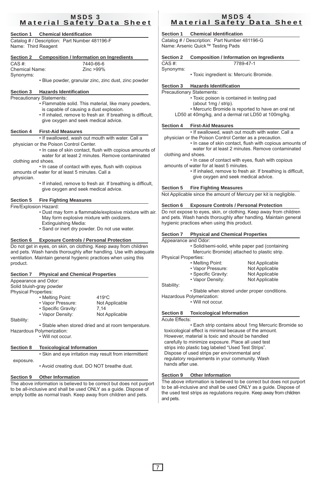### MSDS 3 Material Safety Data Sheet

## **Section 1 Chemical Identification**

Catalog # / Description: Part Number 481196-F Name: Third Reagent

| <b>Section 2</b>        | <b>Composition / Information on Ingredients</b> |
|-------------------------|-------------------------------------------------|
| $\bigcap A \bigcap H$ . | 7110000                                         |

| CAS #:                | 7440-66-6    |
|-----------------------|--------------|
| <b>Chemical Name:</b> | Zinc $>99\%$ |
| Synonyms:             |              |

• Blue powder, granular zinc, zinc dust, zinc powder

## **Section 3 Hazards Identification**

## Precautionary Statements:

- Flammable solid. This material, like many powders, is capable of causing a dust explosion.
- If inhaled, remove to fresh air. If breathing is difficult, give oxygen and seek medical advice.

### **Section 4 First-Aid Measures**

 • If swallowed, wash out mouth with water. Call a physician or the Poison Control Center.

- In case of skin contact, flush with copious amounts of water for at least 2 minutes. Remove contaminated clothing and shoes.
- In case of contact with eyes, flush with copious amounts of water for at least 5 minutes. Call a

physician.

 • If inhaled, remove to fresh air. If breathing is difficult, give oxygen and seek medical advice.

## **Section 5 Fire Fighting Measures**

Fire/Explosion Hazard:

- Dust may form a flammable/explosive mixture with air. May form explosive mixture with oxidizers. Extinguishing Media:
- Sand or inert dry powder. Do not use water.

#### **Section 6 Exposure Controls / Personal Protection**

Do not get in eyes, on skin, on clothing. Keep away from children and pets. Wash hands thoroughly after handling. Use with adequate ventilation. Maintain general hygienic practices when using this product.

#### **Section 7 Physical and Chemical Properties**

Appearance and Odor:

Solid bluish-gray powder Physical Properties:

| • Melting Point:    | $419^{\circ}$ C |
|---------------------|-----------------|
| • Vapor Pressure:   | Not Applicable  |
| • Specific Gravity: | 7.14            |
| • Vapor Density:    | Not Applicable  |
|                     |                 |

Stability:

 • Stable when stored dried and at room temperature. Hazardous Polymerization:

• Will not occur.

## **Section 8 Toxicological Information**

 • Skin and eye irritation may result from intermittent exposure.

• Avoid creating dust. DO NOT breathe dust.

## **Section 9 Other Information**

The above information is believed to be correct but does not purport to be all-inclusive and shall be used ONLY as a guide. Dispose of empty bottle as normal trash. Keep away from children and pets.

## MSDS 4 Material Safety Data Sheet

## **Section 1 Chemical Identification**

Catalog # / Description: Part Number 481196-G Name: Arsenic Quick™ Testing Pads

| Section 2 | Composition / Information on Ingredients |
|-----------|------------------------------------------|
| $CAS \#$  | 7789-47-1                                |

Synonyms:

• Toxic ingredient is: Mercuric Bromide.

## **Section 3 Hazards Identification**

Precautionary Statements: • Toxic poison is contained in testing pad (about 1mg / strip). • Mercuric Bromide is reported to have an oral rat LD50 at 40mg/kg, and a dermal rat LD50 at 100mg/kg.

## **Section 4 First-Aid Measures**

• If swallowed, wash out mouth with water. Call a

- physician or the Poison Control Center as a precaution.
	- In case of skin contact, flush with copious amounts of water for at least 2 minutes. Remove contaminated
- clothing and shoes. • In case of contact with eyes, flush with copious amounts of water for at least 5 minutes.
	- If inhaled, remove to fresh air. If breathing is difficult, give oxygen and seek medical advice.

#### **Section 5 Fire Fighting Measures**

Not Applicable since the amount of Mercury per kit is negligible.

#### **Section 6 Exposure Controls / Personal Protection**

Do not expose to eyes, skin, or clothing. Keep away from children and pets. Wash hands thoroughly after handling. Maintain general hygienic practices when using this product.

#### **Section 7 Physical and Chemical Properties**

Appearance and Odor:

- Solid/semi-solid, white paper pad (containing
- Mercuric Bromide) attached to plastic strip. Physical Properties:
- - Melting Point: Not Applicable • Vapor Pressure: Not Applicable<br>• Specific Gravity: Not Applicable
	- Specific Gravity: Not Applicable<br>• Vapor Density: Not Applicable  $\cdot$  Vapor Density:

Stability:

• Stable when stored under proper conditions.

Hazardous Polymerization:

## • Will not occur.

## **Section 8 Toxicological Information**

Acute Effects:

 • Each strip contains about 1mg Mercuric Bromide so toxicological effect is minimal because of the amount. However, material is toxic and should be handled carefully to minimize exposure. Place all used test strips into plastic bag labeled "Used Test Strips". Dispose of used strips per environmental and regulatory requirements in your community. Wash hands after use.

## **Section 9 Other Information**

The above information is believed to be correct but does not purport to be all-inclusive and shall be used ONLY as a guide. Dispose of the used test strips as regulations require. Keep away from children and pets.